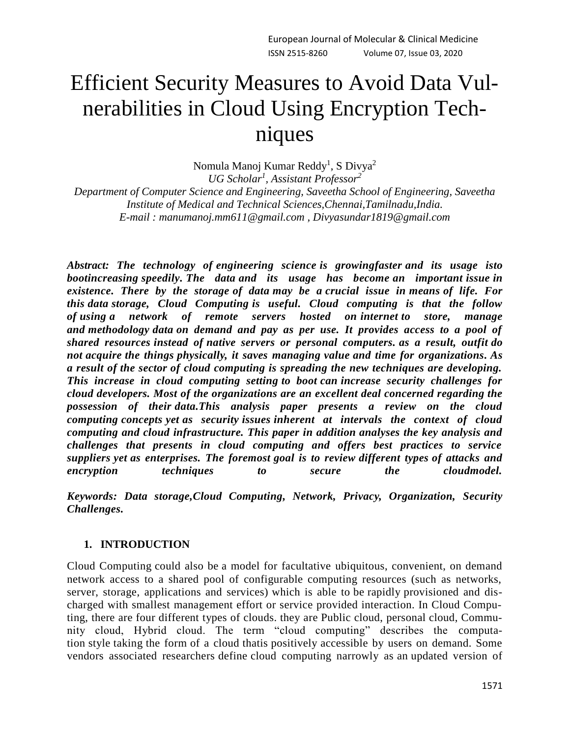# Efficient Security Measures to Avoid Data Vulnerabilities in Cloud Using Encryption Techniques

Nomula Manoj Kumar Reddy<sup>1</sup>, S Divya<sup>2</sup> *UG Scholar<sup>1</sup> , Assistant Professor<sup>2</sup> Department of Computer Science and Engineering, Saveetha School of Engineering, Saveetha Institute of Medical and Technical Sciences,Chennai,Tamilnadu,India. E-mail : [manumanoj.mm611@gmail.com](mailto:manumanoj.mm611@gmail.com) , [Divyasundar1819@gmail.com](mailto:Divyasundar1819@gmail.com)*

*Abstract: The technology of engineering science is growingfaster and its usage isto bootincreasing speedily. The data and its usage has become an important issue in existence. There by the storage of data may be a crucial issue in means of life. For this data storage, Cloud Computing is useful. Cloud computing is that the follow of using a network of remote servers hosted on internet to store, manage and methodology data on demand and pay as per use. It provides access to a pool of shared resources instead of native servers or personal computers. as a result, outfit do not acquire the things physically, it saves managing value and time for organizations. As a result of the sector of cloud computing is spreading the new techniques are developing. This increase in cloud computing setting to boot can increase security challenges for cloud developers. Most of the organizations are an excellent deal concerned regarding the possession of their data.This analysis paper presents a review on the cloud computing concepts yet as security issues inherent at intervals the context of cloud computing and cloud infrastructure. This paper in addition analyses the key analysis and challenges that presents in cloud computing and offers best practices to service suppliers yet as enterprises. The foremost goal is to review different types of attacks and encryption techniques to secure the cloudmodel.*

*Keywords: Data storage,Cloud Computing, Network, Privacy, Organization, Security Challenges.*

# **1. INTRODUCTION**

Cloud Computing could also be a model for facultative ubiquitous, convenient, on demand network access to a shared pool of configurable computing resources (such as networks, server, storage, applications and services) which is able to be rapidly provisioned and discharged with smallest management effort or service provided interaction. In Cloud Computing, there are four different types of clouds. they are Public cloud, personal cloud, Community cloud, Hybrid cloud. The term "cloud computing" describes the computation style taking the form of a cloud thatis positively accessible by users on demand. Some vendors associated researchers define cloud computing narrowly as an updated version of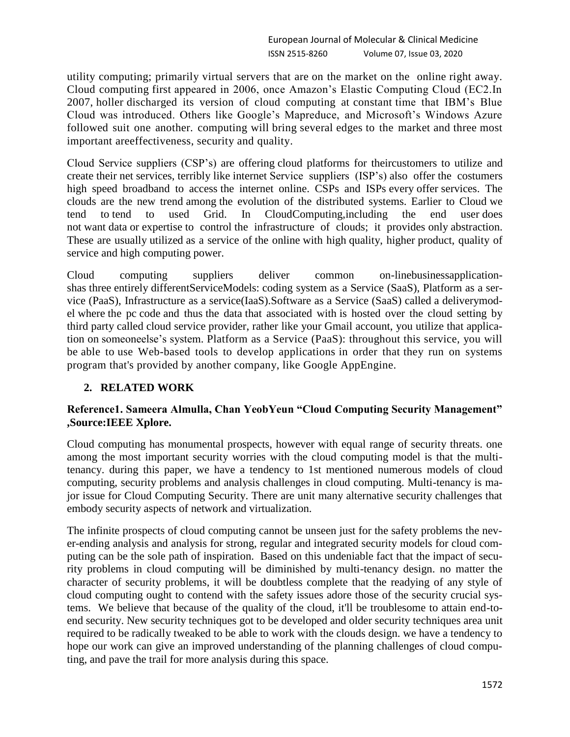utility computing; primarily virtual servers that are on the market on the online right away. Cloud computing first appeared in 2006, once Amazon's Elastic Computing Cloud (EC2.In 2007, holler discharged its version of cloud computing at constant time that IBM's Blue Cloud was introduced. Others like Google's Mapreduce, and Microsoft's Windows Azure followed suit one another. computing will bring several edges to the market and three most important areeffectiveness, security and quality.

Cloud Service suppliers (CSP's) are offering cloud platforms for theircustomers to utilize and create their net services, terribly like internet Service suppliers (ISP's) also offer the costumers high speed broadband to access the internet online. CSPs and ISPs every offer services. The clouds are the new trend among the evolution of the distributed systems. Earlier to Cloud we tend to tend to used Grid. In CloudComputing,including the end user does not want data or expertise to control the infrastructure of clouds; it provides only abstraction. These are usually utilized as a service of the online with high quality, higher product, quality of service and high computing power.

Cloud computing suppliers deliver common on-linebusinessapplicationshas three entirely differentServiceModels: coding system as a Service (SaaS), Platform as a service (PaaS), Infrastructure as a service(IaaS).Software as a Service (SaaS) called a deliverymodel where the pc code and thus the data that associated with is hosted over the cloud setting by third party called cloud service provider, rather like your Gmail account, you utilize that application on someoneelse's system. Platform as a Service (PaaS): throughout this service, you will be able to use Web-based tools to develop applications in order that they run on systems program that's provided by another company, like Google AppEngine.

# **2. RELATED WORK**

## **Reference1. Sameera Almulla, Chan YeobYeun "Cloud Computing Security Management" ,Source:IEEE Xplore.**

Cloud computing has monumental prospects, however with equal range of security threats. one among the most important security worries with the cloud computing model is that the multitenancy. during this paper, we have a tendency to 1st mentioned numerous models of cloud computing, security problems and analysis challenges in cloud computing. Multi-tenancy is major issue for Cloud Computing Security. There are unit many alternative security challenges that embody security aspects of network and virtualization.

The infinite prospects of cloud computing cannot be unseen just for the safety problems the never-ending analysis and analysis for strong, regular and integrated security models for cloud computing can be the sole path of inspiration. Based on this undeniable fact that the impact of security problems in cloud computing will be diminished by multi-tenancy design. no matter the character of security problems, it will be doubtless complete that the readying of any style of cloud computing ought to contend with the safety issues adore those of the security crucial systems. We believe that because of the quality of the cloud, it'll be troublesome to attain end-toend security. New security techniques got to be developed and older security techniques area unit required to be radically tweaked to be able to work with the clouds design. we have a tendency to hope our work can give an improved understanding of the planning challenges of cloud computing, and pave the trail for more analysis during this space.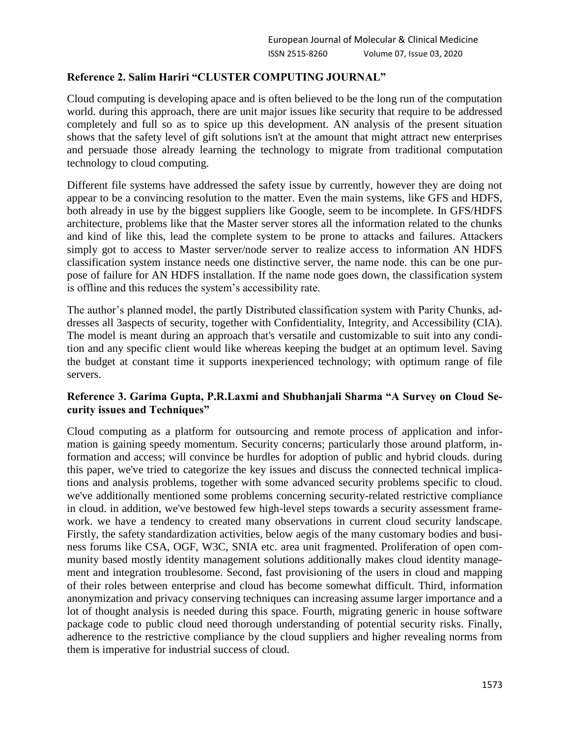## **Reference 2. Salim Hariri "CLUSTER COMPUTING JOURNAL"**

Cloud computing is developing apace and is often believed to be the long run of the computation world. during this approach, there are unit major issues like security that require to be addressed completely and full so as to spice up this development. AN analysis of the present situation shows that the safety level of gift solutions isn't at the amount that might attract new enterprises and persuade those already learning the technology to migrate from traditional computation technology to cloud computing.

Different file systems have addressed the safety issue by currently, however they are doing not appear to be a convincing resolution to the matter. Even the main systems, like GFS and HDFS, both already in use by the biggest suppliers like Google, seem to be incomplete. In GFS/HDFS architecture, problems like that the Master server stores all the information related to the chunks and kind of like this, lead the complete system to be prone to attacks and failures. Attackers simply got to access to Master server/node server to realize access to information AN HDFS classification system instance needs one distinctive server, the name node. this can be one purpose of failure for AN HDFS installation. If the name node goes down, the classification system is offline and this reduces the system's accessibility rate.

The author's planned model, the partly Distributed classification system with Parity Chunks, addresses all 3aspects of security, together with Confidentiality, Integrity, and Accessibility (CIA). The model is meant during an approach that's versatile and customizable to suit into any condition and any specific client would like whereas keeping the budget at an optimum level. Saving the budget at constant time it supports inexperienced technology; with optimum range of file servers.

## **Reference 3. Garima Gupta, P.R.Laxmi and Shubhanjali Sharma "A Survey on Cloud Security issues and Techniques"**

Cloud computing as a platform for outsourcing and remote process of application and information is gaining speedy momentum. Security concerns; particularly those around platform, information and access; will convince be hurdles for adoption of public and hybrid clouds. during this paper, we've tried to categorize the key issues and discuss the connected technical implications and analysis problems, together with some advanced security problems specific to cloud. we've additionally mentioned some problems concerning security-related restrictive compliance in cloud. in addition, we've bestowed few high-level steps towards a security assessment framework. we have a tendency to created many observations in current cloud security landscape. Firstly, the safety standardization activities, below aegis of the many customary bodies and business forums like CSA, OGF, W3C, SNIA etc. area unit fragmented. Proliferation of open community based mostly identity management solutions additionally makes cloud identity management and integration troublesome. Second, fast provisioning of the users in cloud and mapping of their roles between enterprise and cloud has become somewhat difficult. Third, information anonymization and privacy conserving techniques can increasing assume larger importance and a lot of thought analysis is needed during this space. Fourth, migrating generic in house software package code to public cloud need thorough understanding of potential security risks. Finally, adherence to the restrictive compliance by the cloud suppliers and higher revealing norms from them is imperative for industrial success of cloud.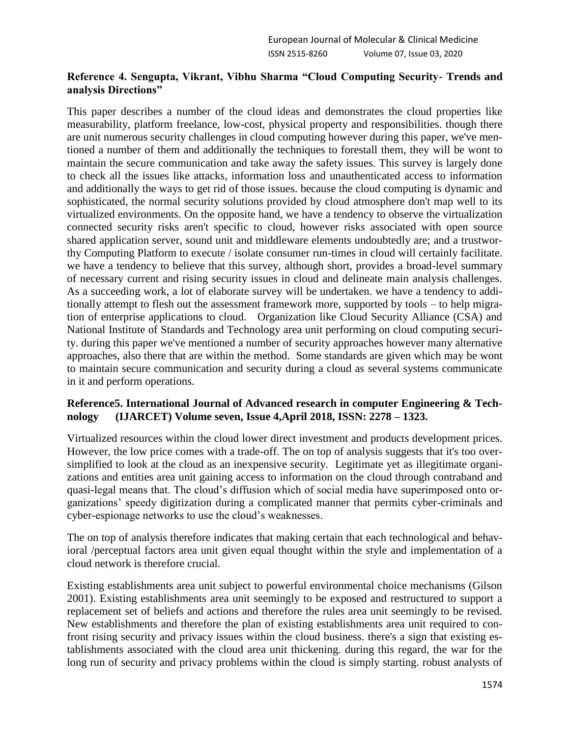## **Reference 4. Sengupta, Vikrant, Vibhu Sharma "Cloud Computing Security- Trends and analysis Directions"**

This paper describes a number of the cloud ideas and demonstrates the cloud properties like measurability, platform freelance, low-cost, physical property and responsibilities. though there are unit numerous security challenges in cloud computing however during this paper, we've mentioned a number of them and additionally the techniques to forestall them, they will be wont to maintain the secure communication and take away the safety issues. This survey is largely done to check all the issues like attacks, information loss and unauthenticated access to information and additionally the ways to get rid of those issues. because the cloud computing is dynamic and sophisticated, the normal security solutions provided by cloud atmosphere don't map well to its virtualized environments. On the opposite hand, we have a tendency to observe the virtualization connected security risks aren't specific to cloud, however risks associated with open source shared application server, sound unit and middleware elements undoubtedly are; and a trustworthy Computing Platform to execute / isolate consumer run-times in cloud will certainly facilitate. we have a tendency to believe that this survey, although short, provides a broad-level summary of necessary current and rising security issues in cloud and delineate main analysis challenges. As a succeeding work, a lot of elaborate survey will be undertaken. we have a tendency to additionally attempt to flesh out the assessment framework more, supported by tools – to help migration of enterprise applications to cloud. Organization like Cloud Security Alliance (CSA) and National Institute of Standards and Technology area unit performing on cloud computing security. during this paper we've mentioned a number of security approaches however many alternative approaches, also there that are within the method. Some standards are given which may be wont to maintain secure communication and security during a cloud as several systems communicate in it and perform operations.

## **Reference5. International Journal of Advanced research in computer Engineering & Technology (IJARCET) Volume seven, Issue 4,April 2018, ISSN: 2278 – 1323.**

Virtualized resources within the cloud lower direct investment and products development prices. However, the low price comes with a trade-off. The on top of analysis suggests that it's too oversimplified to look at the cloud as an inexpensive security. Legitimate yet as illegitimate organizations and entities area unit gaining access to information on the cloud through contraband and quasi-legal means that. The cloud's diffusion which of social media have superimposed onto organizations' speedy digitization during a complicated manner that permits cyber-criminals and cyber-espionage networks to use the cloud's weaknesses.

The on top of analysis therefore indicates that making certain that each technological and behavioral /perceptual factors area unit given equal thought within the style and implementation of a cloud network is therefore crucial.

Existing establishments area unit subject to powerful environmental choice mechanisms (Gilson 2001). Existing establishments area unit seemingly to be exposed and restructured to support a replacement set of beliefs and actions and therefore the rules area unit seemingly to be revised. New establishments and therefore the plan of existing establishments area unit required to confront rising security and privacy issues within the cloud business. there's a sign that existing establishments associated with the cloud area unit thickening. during this regard, the war for the long run of security and privacy problems within the cloud is simply starting. robust analysts of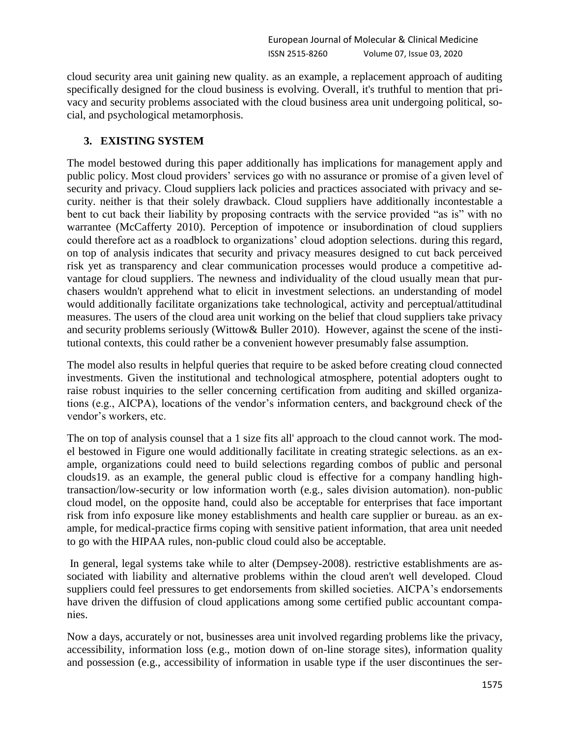cloud security area unit gaining new quality. as an example, a replacement approach of auditing specifically designed for the cloud business is evolving. Overall, it's truthful to mention that privacy and security problems associated with the cloud business area unit undergoing political, social, and psychological metamorphosis.

## **3. EXISTING SYSTEM**

The model bestowed during this paper additionally has implications for management apply and public policy. Most cloud providers' services go with no assurance or promise of a given level of security and privacy. Cloud suppliers lack policies and practices associated with privacy and security. neither is that their solely drawback. Cloud suppliers have additionally incontestable a bent to cut back their liability by proposing contracts with the service provided "as is" with no warrantee (McCafferty 2010). Perception of impotence or insubordination of cloud suppliers could therefore act as a roadblock to organizations' cloud adoption selections. during this regard, on top of analysis indicates that security and privacy measures designed to cut back perceived risk yet as transparency and clear communication processes would produce a competitive advantage for cloud suppliers. The newness and individuality of the cloud usually mean that purchasers wouldn't apprehend what to elicit in investment selections. an understanding of model would additionally facilitate organizations take technological, activity and perceptual/attitudinal measures. The users of the cloud area unit working on the belief that cloud suppliers take privacy and security problems seriously (Wittow& Buller 2010). However, against the scene of the institutional contexts, this could rather be a convenient however presumably false assumption.

The model also results in helpful queries that require to be asked before creating cloud connected investments. Given the institutional and technological atmosphere, potential adopters ought to raise robust inquiries to the seller concerning certification from auditing and skilled organizations (e.g., AICPA), locations of the vendor's information centers, and background check of the vendor's workers, etc.

The on top of analysis counsel that a 1 size fits all' approach to the cloud cannot work. The model bestowed in Figure one would additionally facilitate in creating strategic selections. as an example, organizations could need to build selections regarding combos of public and personal clouds19. as an example, the general public cloud is effective for a company handling hightransaction/low-security or low information worth (e.g., sales division automation). non-public cloud model, on the opposite hand, could also be acceptable for enterprises that face important risk from info exposure like money establishments and health care supplier or bureau. as an example, for medical-practice firms coping with sensitive patient information, that area unit needed to go with the HIPAA rules, non-public cloud could also be acceptable.

In general, legal systems take while to alter (Dempsey-2008). restrictive establishments are associated with liability and alternative problems within the cloud aren't well developed. Cloud suppliers could feel pressures to get endorsements from skilled societies. AICPA's endorsements have driven the diffusion of cloud applications among some certified public accountant companies.

Now a days, accurately or not, businesses area unit involved regarding problems like the privacy, accessibility, information loss (e.g., motion down of on-line storage sites), information quality and possession (e.g., accessibility of information in usable type if the user discontinues the ser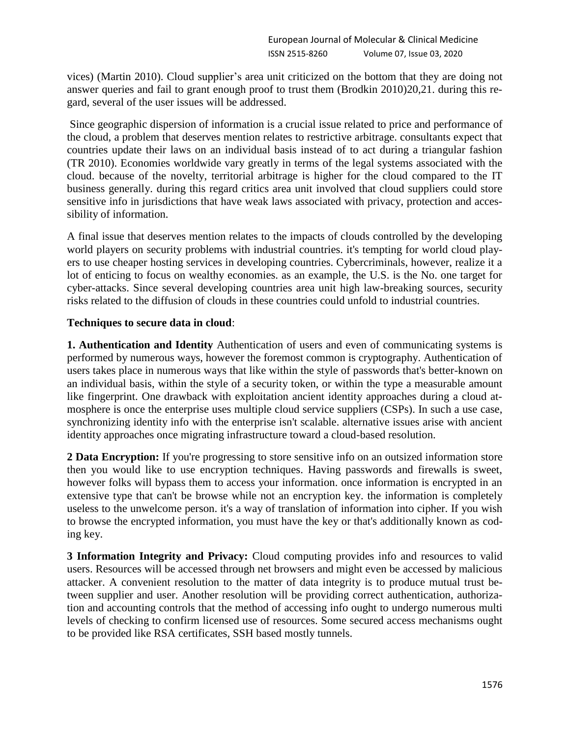vices) (Martin 2010). Cloud supplier's area unit criticized on the bottom that they are doing not answer queries and fail to grant enough proof to trust them (Brodkin 2010)20,21. during this regard, several of the user issues will be addressed.

Since geographic dispersion of information is a crucial issue related to price and performance of the cloud, a problem that deserves mention relates to restrictive arbitrage. consultants expect that countries update their laws on an individual basis instead of to act during a triangular fashion (TR 2010). Economies worldwide vary greatly in terms of the legal systems associated with the cloud. because of the novelty, territorial arbitrage is higher for the cloud compared to the IT business generally. during this regard critics area unit involved that cloud suppliers could store sensitive info in jurisdictions that have weak laws associated with privacy, protection and accessibility of information.

A final issue that deserves mention relates to the impacts of clouds controlled by the developing world players on security problems with industrial countries. it's tempting for world cloud players to use cheaper hosting services in developing countries. Cybercriminals, however, realize it a lot of enticing to focus on wealthy economies. as an example, the U.S. is the No. one target for cyber-attacks. Since several developing countries area unit high law-breaking sources, security risks related to the diffusion of clouds in these countries could unfold to industrial countries.

## **Techniques to secure data in cloud**:

**1. Authentication and Identity** Authentication of users and even of communicating systems is performed by numerous ways, however the foremost common is cryptography. Authentication of users takes place in numerous ways that like within the style of passwords that's better-known on an individual basis, within the style of a security token, or within the type a measurable amount like fingerprint. One drawback with exploitation ancient identity approaches during a cloud atmosphere is once the enterprise uses multiple cloud service suppliers (CSPs). In such a use case, synchronizing identity info with the enterprise isn't scalable. alternative issues arise with ancient identity approaches once migrating infrastructure toward a cloud-based resolution.

**2 Data Encryption:** If you're progressing to store sensitive info on an outsized information store then you would like to use encryption techniques. Having passwords and firewalls is sweet, however folks will bypass them to access your information. once information is encrypted in an extensive type that can't be browse while not an encryption key. the information is completely useless to the unwelcome person. it's a way of translation of information into cipher. If you wish to browse the encrypted information, you must have the key or that's additionally known as coding key.

**3 Information Integrity and Privacy:** Cloud computing provides info and resources to valid users. Resources will be accessed through net browsers and might even be accessed by malicious attacker. A convenient resolution to the matter of data integrity is to produce mutual trust between supplier and user. Another resolution will be providing correct authentication, authorization and accounting controls that the method of accessing info ought to undergo numerous multi levels of checking to confirm licensed use of resources. Some secured access mechanisms ought to be provided like RSA certificates, SSH based mostly tunnels.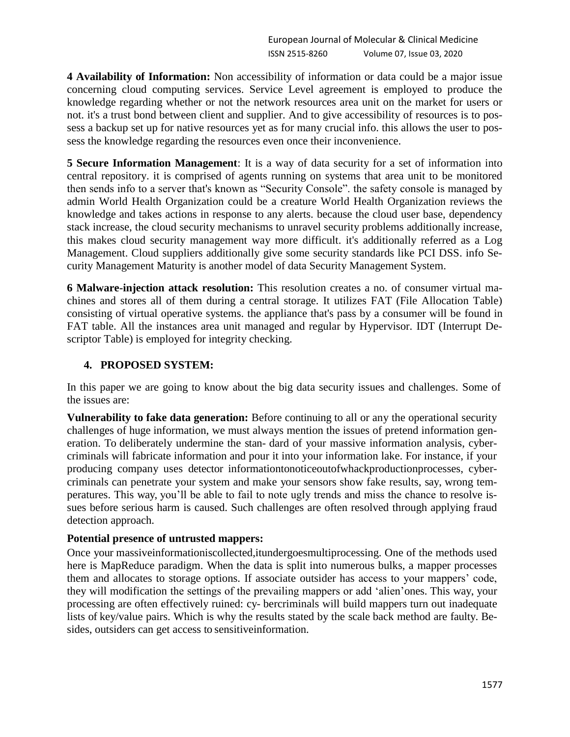**4 Availability of Information:** Non accessibility of information or data could be a major issue concerning cloud computing services. Service Level agreement is employed to produce the knowledge regarding whether or not the network resources area unit on the market for users or not. it's a trust bond between client and supplier. And to give accessibility of resources is to possess a backup set up for native resources yet as for many crucial info. this allows the user to possess the knowledge regarding the resources even once their inconvenience.

**5 Secure Information Management**: It is a way of data security for a set of information into central repository. it is comprised of agents running on systems that area unit to be monitored then sends info to a server that's known as "Security Console". the safety console is managed by admin World Health Organization could be a creature World Health Organization reviews the knowledge and takes actions in response to any alerts. because the cloud user base, dependency stack increase, the cloud security mechanisms to unravel security problems additionally increase, this makes cloud security management way more difficult. it's additionally referred as a Log Management. Cloud suppliers additionally give some security standards like PCI DSS. info Security Management Maturity is another model of data Security Management System.

**6 Malware-injection attack resolution:** This resolution creates a no. of consumer virtual machines and stores all of them during a central storage. It utilizes FAT (File Allocation Table) consisting of virtual operative systems. the appliance that's pass by a consumer will be found in FAT table. All the instances area unit managed and regular by Hypervisor. IDT (Interrupt Descriptor Table) is employed for integrity checking.

#### **4. PROPOSED SYSTEM:**

In this paper we are going to know about the big data security issues and challenges. Some of the issues are:

**Vulnerability to fake data generation:** Before continuing to all or any the operational security challenges of huge information, we must always mention the issues of pretend information generation. To deliberately undermine the stan- dard of your massive information analysis, cybercriminals will fabricate information and pour it into your information lake. For instance, if your producing company uses detector informationtonoticeoutofwhackproductionprocesses, cybercriminals can penetrate your system and make your sensors show fake results, say, wrong temperatures. This way, you'll be able to fail to note ugly trends and miss the chance to resolve issues before serious harm is caused. Such challenges are often resolved through applying fraud detection approach.

#### **Potential presence of untrusted mappers:**

Once your massiveinformationiscollected,itundergoesmultiprocessing. One of the methods used here is MapReduce paradigm. When the data is split into numerous bulks, a mapper processes them and allocates to storage options. If associate outsider has access to your mappers' code, they will modification the settings of the prevailing mappers or add 'alien'ones. This way, your processing are often effectively ruined: cy- bercriminals will build mappers turn out inadequate lists of key/value pairs. Which is why the results stated by the scale back method are faulty. Besides, outsiders can get access to sensitiveinformation.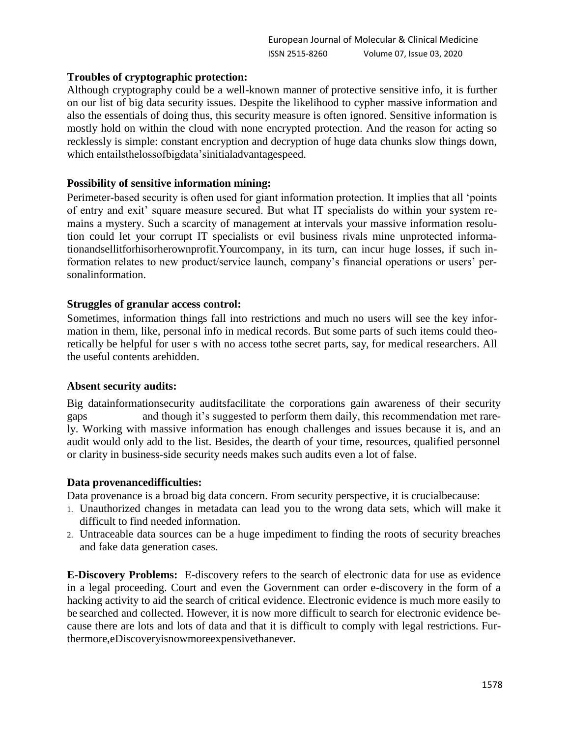## **Troubles of cryptographic protection:**

Although cryptography could be a well-known manner of protective sensitive info, it is further on our list of big data security issues. Despite the likelihood to cypher massive information and also the essentials of doing thus, this security measure is often ignored. Sensitive information is mostly hold on within the cloud with none encrypted protection. And the reason for acting so recklessly is simple: constant encryption and decryption of huge data chunks slow things down, which entailsthelossofbigdata'sinitialadvantagespeed.

## **Possibility of sensitive information mining:**

Perimeter-based security is often used for giant information protection. It implies that all 'points of entry and exit' square measure secured. But what IT specialists do within your system remains a mystery. Such a scarcity of management at intervals your massive information resolution could let your corrupt IT specialists or evil business rivals mine unprotected informationandsellitforhisorherownprofit.Yourcompany, in its turn, can incur huge losses, if such information relates to new product/service launch, company's financial operations or users' personalinformation.

## **Struggles of granular access control:**

Sometimes, information things fall into restrictions and much no users will see the key information in them, like, personal info in medical records. But some parts of such items could theoretically be helpful for user s with no access tothe secret parts, say, for medical researchers. All the useful contents arehidden.

#### **Absent security audits:**

Big datainformationsecurity auditsfacilitate the corporations gain awareness of their security gaps and though it's suggested to perform them daily, this recommendation met rarely. Working with massive information has enough challenges and issues because it is, and an audit would only add to the list. Besides, the dearth of your time, resources, qualified personnel or clarity in business-side security needs makes such audits even a lot of false.

#### **Data provenancedifficulties:**

Data provenance is a broad big data concern. From security perspective, it is crucialbecause:

- 1. Unauthorized changes in metadata can lead you to the wrong data sets, which will make it difficult to find needed information.
- 2. Untraceable data sources can be a huge impediment to finding the roots of security breaches and fake data generation cases.

**E-Discovery Problems:** E-discovery refers to the search of electronic data for use as evidence in a legal proceeding. Court and even the Government can order e-discovery in the form of a hacking activity to aid the search of critical evidence. Electronic evidence is much more easily to be searched and collected. However, it is now more difficult to search for electronic evidence because there are lots and lots of data and that it is difficult to comply with legal restrictions. Furthermore,eDiscoveryisnowmoreexpensivethanever.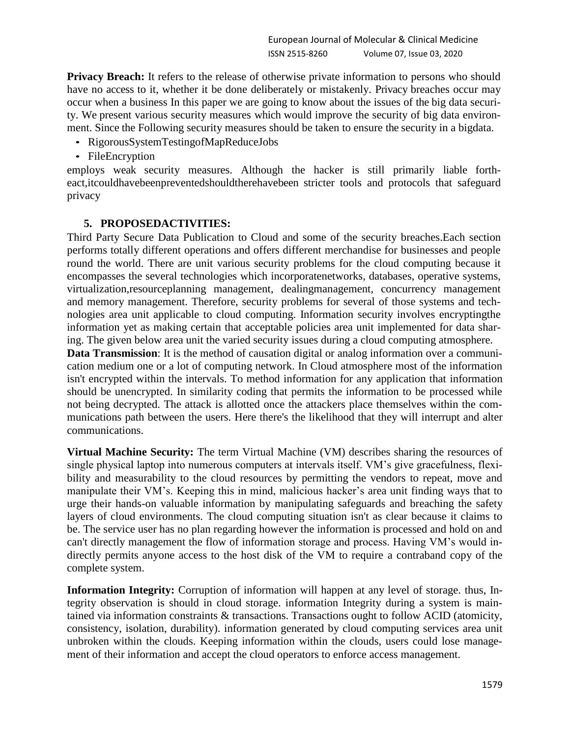**Privacy Breach:** It refers to the release of otherwise private information to persons who should have no access to it, whether it be done deliberately or mistakenly. Privacy breaches occur may occur when a business In this paper we are going to know about the issues of the big data security. We present various security measures which would improve the security of big data environment. Since the Following security measures should be taken to ensure the security in a bigdata.

- RigorousSystemTestingofMapReduceJobs
- FileEncryption

employs weak security measures. Although the hacker is still primarily liable fortheact,itcouldhavebeenpreventedshouldtherehavebeen stricter tools and protocols that safeguard privacy

#### **5. PROPOSEDACTIVITIES:**

Third Party Secure Data Publication to Cloud and some of the security breaches.Each section performs totally different operations and offers different merchandise for businesses and people round the world. There are unit various security problems for the cloud computing because it encompasses the several technologies which incorporatenetworks, databases, operative systems, virtualization,resourceplanning management, dealingmanagement, concurrency management and memory management. Therefore, security problems for several of those systems and technologies area unit applicable to cloud computing. Information security involves encryptingthe information yet as making certain that acceptable policies area unit implemented for data sharing. The given below area unit the varied security issues during a cloud computing atmosphere.

**Data Transmission**: It is the method of causation digital or analog information over a communication medium one or a lot of computing network. In Cloud atmosphere most of the information isn't encrypted within the intervals. To method information for any application that information should be unencrypted. In similarity coding that permits the information to be processed while not being decrypted. The attack is allotted once the attackers place themselves within the communications path between the users. Here there's the likelihood that they will interrupt and alter communications.

**Virtual Machine Security:** The term Virtual Machine (VM) describes sharing the resources of single physical laptop into numerous computers at intervals itself. VM's give gracefulness, flexibility and measurability to the cloud resources by permitting the vendors to repeat, move and manipulate their VM's. Keeping this in mind, malicious hacker's area unit finding ways that to urge their hands-on valuable information by manipulating safeguards and breaching the safety layers of cloud environments. The cloud computing situation isn't as clear because it claims to be. The service user has no plan regarding however the information is processed and hold on and can't directly management the flow of information storage and process. Having VM's would indirectly permits anyone access to the host disk of the VM to require a contraband copy of the complete system.

**Information Integrity:** Corruption of information will happen at any level of storage. thus, Integrity observation is should in cloud storage. information Integrity during a system is maintained via information constraints & transactions. Transactions ought to follow ACID (atomicity, consistency, isolation, durability). information generated by cloud computing services area unit unbroken within the clouds. Keeping information within the clouds, users could lose management of their information and accept the cloud operators to enforce access management.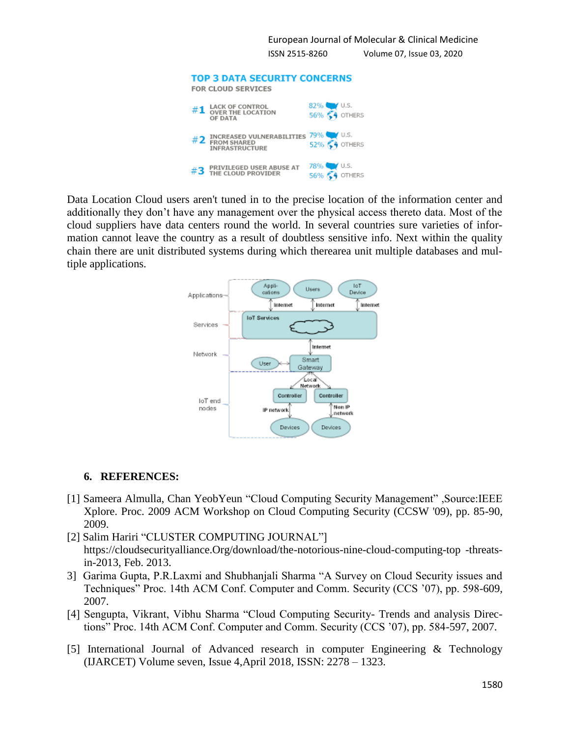European Journal of Molecular & Clinical Medicine ISSN 2515-8260 Volume 07, Issue 03, 2020 **TOP 3 DATA SECURITY CONCERNS** 



Data Location Cloud users aren't tuned in to the precise location of the information center and additionally they don't have any management over the physical access thereto data. Most of the cloud suppliers have data centers round the world. In several countries sure varieties of information cannot leave the country as a result of doubtless sensitive info. Next within the quality chain there are unit distributed systems during which therearea unit multiple databases and multiple applications.



# **6. REFERENCES:**

- [1] Sameera Almulla, Chan YeobYeun "Cloud Computing Security Management" ,Source:IEEE Xplore. Proc. 2009 ACM Workshop on Cloud Computing Security (CCSW '09), pp. 85-90, 2009.
- [2] Salim Hariri "CLUSTER COMPUTING JOURNAL"] https://cloudsecurityalliance.Org/download/the-notorious-nine-cloud-computing-top -threatsin-2013, Feb. 2013.
- 3] Garima Gupta, P.R.Laxmi and Shubhanjali Sharma "A Survey on Cloud Security issues and Techniques" Proc. 14th ACM Conf. Computer and Comm. Security (CCS '07), pp. 598-609, 2007.
- [4] Sengupta, Vikrant, Vibhu Sharma "Cloud Computing Security- Trends and analysis Directions" Proc. 14th ACM Conf. Computer and Comm. Security (CCS '07), pp. 584-597, 2007.
- [5] International Journal of Advanced research in computer Engineering & Technology (IJARCET) Volume seven, Issue 4,April 2018, ISSN: 2278 – 1323.